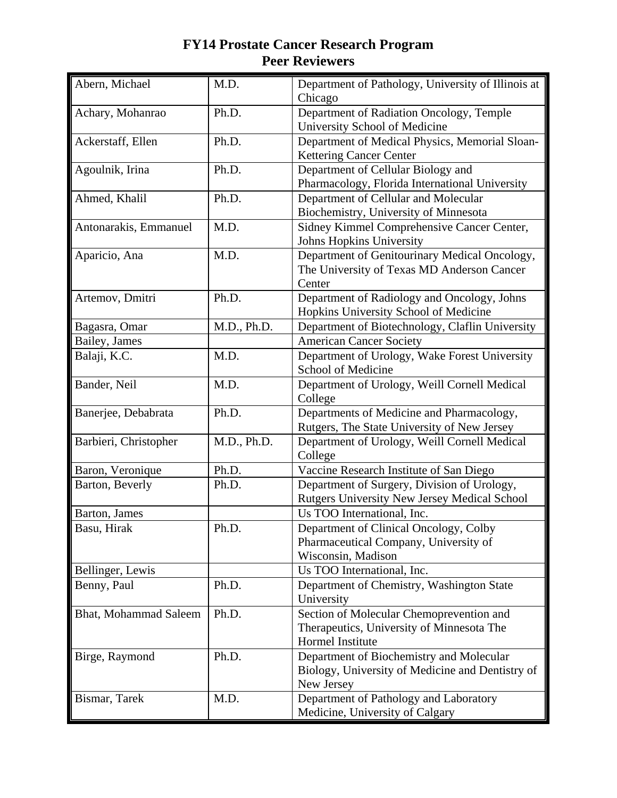| Abern, Michael               | M.D.        | Department of Pathology, University of Illinois at<br>Chicago                                              |
|------------------------------|-------------|------------------------------------------------------------------------------------------------------------|
| Achary, Mohanrao             | Ph.D.       | Department of Radiation Oncology, Temple<br>University School of Medicine                                  |
| Ackerstaff, Ellen            | Ph.D.       | Department of Medical Physics, Memorial Sloan-<br><b>Kettering Cancer Center</b>                           |
| Agoulnik, Irina              | Ph.D.       | Department of Cellular Biology and<br>Pharmacology, Florida International University                       |
| Ahmed, Khalil                | Ph.D.       | Department of Cellular and Molecular<br>Biochemistry, University of Minnesota                              |
| Antonarakis, Emmanuel        | M.D.        | Sidney Kimmel Comprehensive Cancer Center,<br>Johns Hopkins University                                     |
| Aparicio, Ana                | M.D.        | Department of Genitourinary Medical Oncology,<br>The University of Texas MD Anderson Cancer<br>Center      |
| Artemov, Dmitri              | Ph.D.       | Department of Radiology and Oncology, Johns<br>Hopkins University School of Medicine                       |
| Bagasra, Omar                | M.D., Ph.D. | Department of Biotechnology, Claflin University                                                            |
| Bailey, James                |             | <b>American Cancer Society</b>                                                                             |
| Balaji, K.C.                 | M.D.        | Department of Urology, Wake Forest University<br>School of Medicine                                        |
| Bander, Neil                 | M.D.        | Department of Urology, Weill Cornell Medical<br>College                                                    |
| Banerjee, Debabrata          | Ph.D.       | Departments of Medicine and Pharmacology,<br>Rutgers, The State University of New Jersey                   |
| Barbieri, Christopher        | M.D., Ph.D. | Department of Urology, Weill Cornell Medical<br>College                                                    |
| Baron, Veronique             | Ph.D.       | Vaccine Research Institute of San Diego                                                                    |
| Barton, Beverly              | Ph.D.       | Department of Surgery, Division of Urology,<br>Rutgers University New Jersey Medical School                |
| Barton, James                |             | Us TOO International, Inc.                                                                                 |
| Basu, Hirak                  | Ph.D.       | Department of Clinical Oncology, Colby<br>Pharmaceutical Company, University of<br>Wisconsin, Madison      |
| Bellinger, Lewis             |             | Us TOO International, Inc.                                                                                 |
| Benny, Paul                  | Ph.D.       | Department of Chemistry, Washington State<br>University                                                    |
| <b>Bhat, Mohammad Saleem</b> | Ph.D.       | Section of Molecular Chemoprevention and<br>Therapeutics, University of Minnesota The<br>Hormel Institute  |
| Birge, Raymond               | Ph.D.       | Department of Biochemistry and Molecular<br>Biology, University of Medicine and Dentistry of<br>New Jersey |
| Bismar, Tarek                | M.D.        | Department of Pathology and Laboratory<br>Medicine, University of Calgary                                  |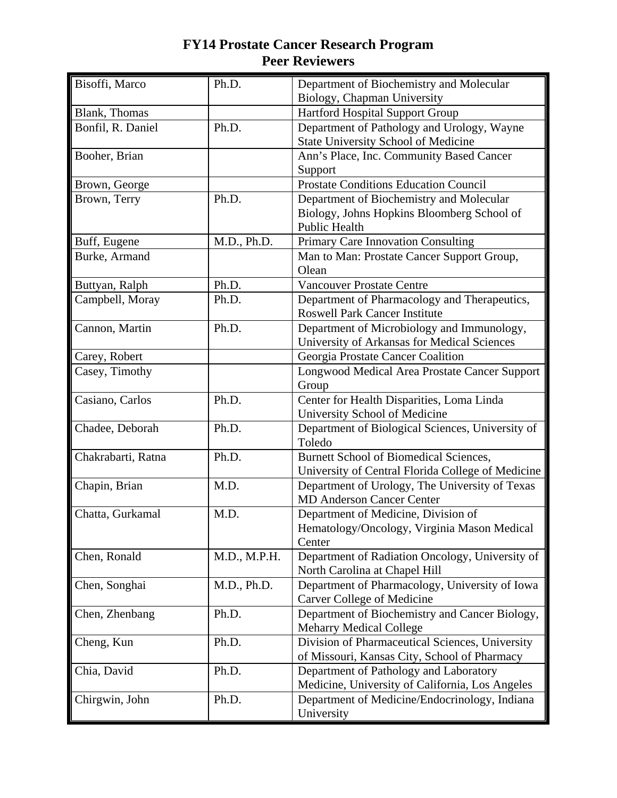| Bisoffi, Marco     | Ph.D.        | Department of Biochemistry and Molecular                                         |
|--------------------|--------------|----------------------------------------------------------------------------------|
| Blank, Thomas      |              | Biology, Chapman University<br>Hartford Hospital Support Group                   |
| Bonfil, R. Daniel  | Ph.D.        | Department of Pathology and Urology, Wayne                                       |
|                    |              | State University School of Medicine                                              |
| Booher, Brian      |              | Ann's Place, Inc. Community Based Cancer                                         |
|                    |              | Support                                                                          |
| Brown, George      |              | <b>Prostate Conditions Education Council</b>                                     |
| Brown, Terry       | Ph.D.        | Department of Biochemistry and Molecular                                         |
|                    |              | Biology, Johns Hopkins Bloomberg School of                                       |
|                    |              | <b>Public Health</b>                                                             |
| Buff, Eugene       | M.D., Ph.D.  | Primary Care Innovation Consulting                                               |
| Burke, Armand      |              | Man to Man: Prostate Cancer Support Group,                                       |
|                    |              | Olean                                                                            |
| Buttyan, Ralph     | Ph.D.        | <b>Vancouver Prostate Centre</b>                                                 |
| Campbell, Moray    | Ph.D.        | Department of Pharmacology and Therapeutics,                                     |
|                    |              | <b>Roswell Park Cancer Institute</b>                                             |
| Cannon, Martin     | Ph.D.        | Department of Microbiology and Immunology,                                       |
|                    |              | University of Arkansas for Medical Sciences                                      |
| Carey, Robert      |              | Georgia Prostate Cancer Coalition                                                |
| Casey, Timothy     |              | Longwood Medical Area Prostate Cancer Support                                    |
|                    |              | Group                                                                            |
| Casiano, Carlos    | Ph.D.        | Center for Health Disparities, Loma Linda                                        |
|                    |              | University School of Medicine                                                    |
| Chadee, Deborah    | Ph.D.        | Department of Biological Sciences, University of                                 |
|                    |              | Toledo                                                                           |
| Chakrabarti, Ratna | Ph.D.        | <b>Burnett School of Biomedical Sciences,</b>                                    |
|                    |              | University of Central Florida College of Medicine                                |
| Chapin, Brian      | M.D.         | Department of Urology, The University of Texas                                   |
|                    |              | <b>MD Anderson Cancer Center</b>                                                 |
| Chatta, Gurkamal   | M.D.         | Department of Medicine, Division of                                              |
|                    |              | Hematology/Oncology, Virginia Mason Medical                                      |
|                    |              | Center                                                                           |
| Chen, Ronald       | M.D., M.P.H. | Department of Radiation Oncology, University of                                  |
|                    |              | North Carolina at Chapel Hill                                                    |
| Chen, Songhai      | M.D., Ph.D.  | Department of Pharmacology, University of Iowa                                   |
|                    | Ph.D.        | <b>Carver College of Medicine</b>                                                |
| Chen, Zhenbang     |              | Department of Biochemistry and Cancer Biology,<br><b>Meharry Medical College</b> |
|                    | Ph.D.        | Division of Pharmaceutical Sciences, University                                  |
| Cheng, Kun         |              | of Missouri, Kansas City, School of Pharmacy                                     |
| Chia, David        | Ph.D.        | Department of Pathology and Laboratory                                           |
|                    |              | Medicine, University of California, Los Angeles                                  |
| Chirgwin, John     | Ph.D.        | Department of Medicine/Endocrinology, Indiana                                    |
|                    |              | University                                                                       |
|                    |              |                                                                                  |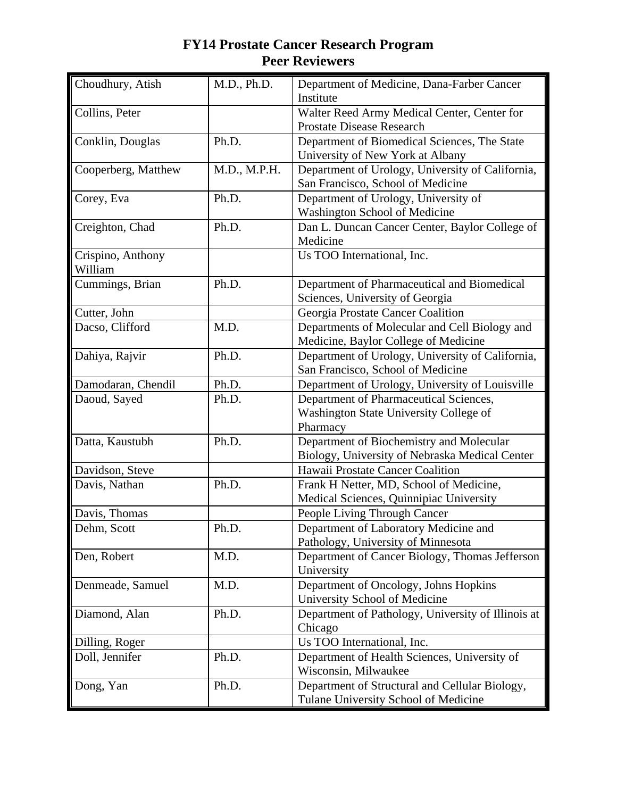| Choudhury, Atish    | M.D., Ph.D.  | Department of Medicine, Dana-Farber Cancer<br>Institute                               |
|---------------------|--------------|---------------------------------------------------------------------------------------|
| Collins, Peter      |              | Walter Reed Army Medical Center, Center for                                           |
|                     |              | <b>Prostate Disease Research</b>                                                      |
| Conklin, Douglas    | Ph.D.        | Department of Biomedical Sciences, The State                                          |
|                     |              | University of New York at Albany                                                      |
| Cooperberg, Matthew | M.D., M.P.H. | Department of Urology, University of California,                                      |
|                     |              | San Francisco, School of Medicine                                                     |
| Corey, Eva          | Ph.D.        | Department of Urology, University of                                                  |
|                     |              | Washington School of Medicine                                                         |
| Creighton, Chad     | Ph.D.        | Dan L. Duncan Cancer Center, Baylor College of                                        |
|                     |              | Medicine                                                                              |
| Crispino, Anthony   |              | Us TOO International, Inc.                                                            |
| William             |              |                                                                                       |
| Cummings, Brian     | Ph.D.        | Department of Pharmaceutical and Biomedical                                           |
|                     |              | Sciences, University of Georgia                                                       |
| Cutter, John        |              | Georgia Prostate Cancer Coalition                                                     |
| Dacso, Clifford     | M.D.         | Departments of Molecular and Cell Biology and<br>Medicine, Baylor College of Medicine |
| Dahiya, Rajvir      | Ph.D.        | Department of Urology, University of California,                                      |
|                     |              | San Francisco, School of Medicine                                                     |
| Damodaran, Chendil  | Ph.D.        | Department of Urology, University of Louisville                                       |
| Daoud, Sayed        | Ph.D.        | Department of Pharmaceutical Sciences,                                                |
|                     |              | Washington State University College of                                                |
|                     |              | Pharmacy                                                                              |
| Datta, Kaustubh     | Ph.D.        | Department of Biochemistry and Molecular                                              |
|                     |              | Biology, University of Nebraska Medical Center                                        |
| Davidson, Steve     |              | Hawaii Prostate Cancer Coalition                                                      |
| Davis, Nathan       | Ph.D.        | Frank H Netter, MD, School of Medicine,                                               |
|                     |              | Medical Sciences, Quinnipiac University                                               |
| Davis, Thomas       |              | People Living Through Cancer                                                          |
| Dehm, Scott         | Ph.D.        | Department of Laboratory Medicine and                                                 |
|                     |              | Pathology, University of Minnesota                                                    |
| Den, Robert         | M.D.         | Department of Cancer Biology, Thomas Jefferson                                        |
|                     |              | University                                                                            |
| Denmeade, Samuel    | M.D.         | Department of Oncology, Johns Hopkins                                                 |
|                     |              | University School of Medicine                                                         |
| Diamond, Alan       | Ph.D.        | Department of Pathology, University of Illinois at                                    |
|                     |              | Chicago                                                                               |
| Dilling, Roger      |              | Us TOO International, Inc.                                                            |
| Doll, Jennifer      | Ph.D.        | Department of Health Sciences, University of                                          |
|                     |              | Wisconsin, Milwaukee                                                                  |
| Dong, Yan           | Ph.D.        | Department of Structural and Cellular Biology,                                        |
|                     |              | Tulane University School of Medicine                                                  |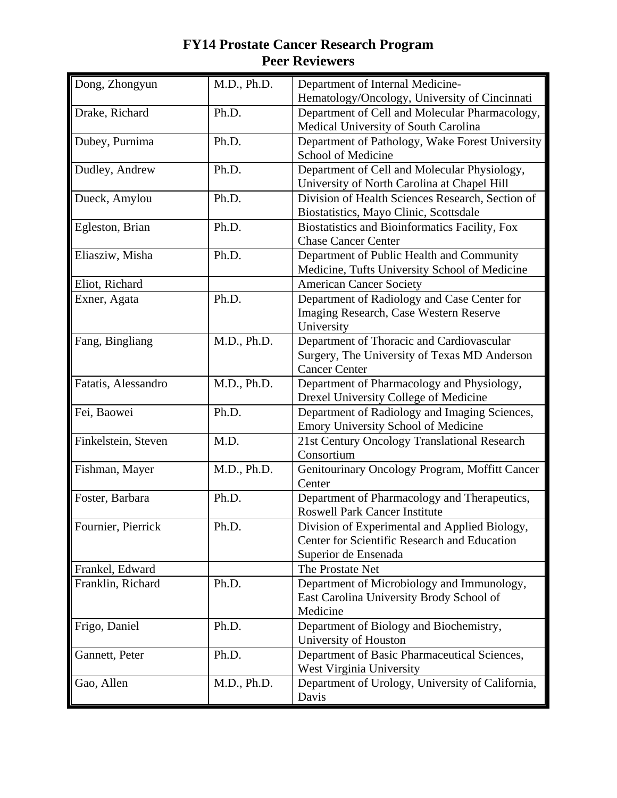| Dong, Zhongyun      | M.D., Ph.D. | Department of Internal Medicine-                                                    |
|---------------------|-------------|-------------------------------------------------------------------------------------|
|                     |             | Hematology/Oncology, University of Cincinnati                                       |
| Drake, Richard      | Ph.D.       | Department of Cell and Molecular Pharmacology,                                      |
|                     |             | Medical University of South Carolina                                                |
| Dubey, Purnima      | Ph.D.       | Department of Pathology, Wake Forest University                                     |
|                     |             | School of Medicine                                                                  |
| Dudley, Andrew      | Ph.D.       | Department of Cell and Molecular Physiology,                                        |
|                     |             | University of North Carolina at Chapel Hill                                         |
| Dueck, Amylou       | Ph.D.       | Division of Health Sciences Research, Section of                                    |
|                     |             | Biostatistics, Mayo Clinic, Scottsdale                                              |
| Egleston, Brian     | Ph.D.       | Biostatistics and Bioinformatics Facility, Fox                                      |
|                     |             | <b>Chase Cancer Center</b>                                                          |
| Eliasziw, Misha     | Ph.D.       | Department of Public Health and Community                                           |
|                     |             | Medicine, Tufts University School of Medicine                                       |
| Eliot, Richard      |             | <b>American Cancer Society</b>                                                      |
| Exner, Agata        | Ph.D.       | Department of Radiology and Case Center for                                         |
|                     |             | Imaging Research, Case Western Reserve                                              |
|                     |             | University                                                                          |
| Fang, Bingliang     | M.D., Ph.D. | Department of Thoracic and Cardiovascular                                           |
|                     |             | Surgery, The University of Texas MD Anderson                                        |
|                     |             | <b>Cancer Center</b>                                                                |
| Fatatis, Alessandro | M.D., Ph.D. | Department of Pharmacology and Physiology,<br>Drexel University College of Medicine |
| Fei, Baowei         | Ph.D.       | Department of Radiology and Imaging Sciences,                                       |
|                     |             | Emory University School of Medicine                                                 |
| Finkelstein, Steven | M.D.        | 21st Century Oncology Translational Research                                        |
|                     |             | Consortium                                                                          |
| Fishman, Mayer      | M.D., Ph.D. | Genitourinary Oncology Program, Moffitt Cancer                                      |
|                     |             | Center                                                                              |
| Foster, Barbara     | Ph.D.       | Department of Pharmacology and Therapeutics,                                        |
|                     |             | <b>Roswell Park Cancer Institute</b>                                                |
| Fournier, Pierrick  | Ph.D.       | Division of Experimental and Applied Biology,                                       |
|                     |             | Center for Scientific Research and Education                                        |
|                     |             | Superior de Ensenada                                                                |
| Frankel, Edward     |             | The Prostate Net                                                                    |
| Franklin, Richard   | Ph.D.       | Department of Microbiology and Immunology,                                          |
|                     |             | East Carolina University Brody School of                                            |
|                     |             | Medicine                                                                            |
| Frigo, Daniel       | Ph.D.       | Department of Biology and Biochemistry,                                             |
|                     |             | University of Houston                                                               |
| Gannett, Peter      | Ph.D.       | Department of Basic Pharmaceutical Sciences,                                        |
|                     |             | West Virginia University                                                            |
| Gao, Allen          | M.D., Ph.D. | Department of Urology, University of California,                                    |
|                     |             | Davis                                                                               |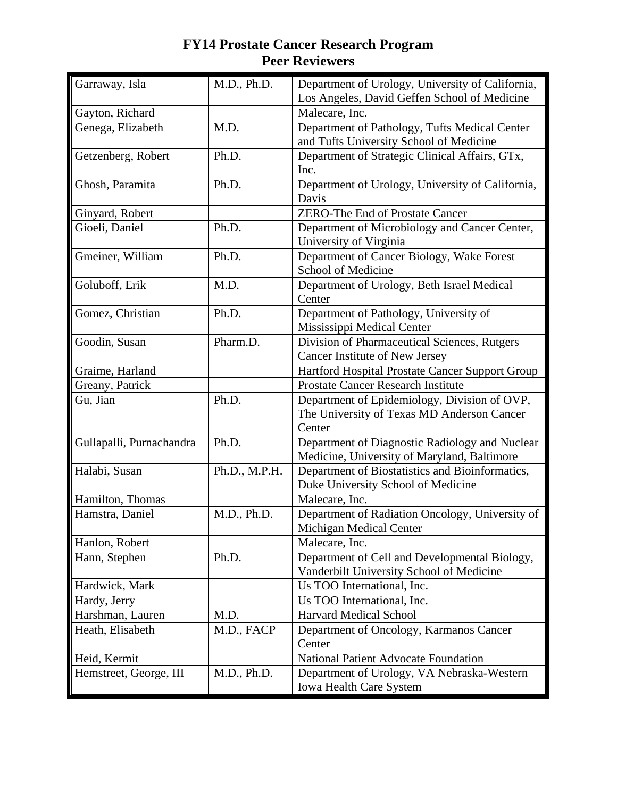| Garraway, Isla           | M.D., Ph.D.   | Department of Urology, University of California,               |
|--------------------------|---------------|----------------------------------------------------------------|
| Gayton, Richard          |               | Los Angeles, David Geffen School of Medicine<br>Malecare, Inc. |
|                          | M.D.          | Department of Pathology, Tufts Medical Center                  |
| Genega, Elizabeth        |               |                                                                |
|                          | Ph.D.         | and Tufts University School of Medicine                        |
| Getzenberg, Robert       |               | Department of Strategic Clinical Affairs, GTx,<br>Inc.         |
| Ghosh, Paramita          | Ph.D.         | Department of Urology, University of California,               |
|                          |               | Davis                                                          |
| Ginyard, Robert          |               | <b>ZERO-The End of Prostate Cancer</b>                         |
| Gioeli, Daniel           | Ph.D.         | Department of Microbiology and Cancer Center,                  |
|                          |               | University of Virginia                                         |
| Gmeiner, William         | Ph.D.         | Department of Cancer Biology, Wake Forest                      |
|                          |               | School of Medicine                                             |
| Goluboff, Erik           | M.D.          | Department of Urology, Beth Israel Medical                     |
|                          |               | Center                                                         |
| Gomez, Christian         | Ph.D.         | Department of Pathology, University of                         |
|                          |               | Mississippi Medical Center                                     |
| Goodin, Susan            | Pharm.D.      | Division of Pharmaceutical Sciences, Rutgers                   |
|                          |               | Cancer Institute of New Jersey                                 |
| Graime, Harland          |               | Hartford Hospital Prostate Cancer Support Group                |
| Greany, Patrick          |               | <b>Prostate Cancer Research Institute</b>                      |
| Gu, Jian                 | Ph.D.         | Department of Epidemiology, Division of OVP,                   |
|                          |               | The University of Texas MD Anderson Cancer                     |
|                          |               | Center                                                         |
| Gullapalli, Purnachandra | Ph.D.         | Department of Diagnostic Radiology and Nuclear                 |
|                          |               | Medicine, University of Maryland, Baltimore                    |
| Halabi, Susan            | Ph.D., M.P.H. | Department of Biostatistics and Bioinformatics,                |
|                          |               | Duke University School of Medicine                             |
| Hamilton, Thomas         |               | Malecare, Inc.                                                 |
| Hamstra, Daniel          | M.D., Ph.D.   | Department of Radiation Oncology, University of                |
|                          |               | Michigan Medical Center                                        |
| Hanlon, Robert           |               | Malecare, Inc.                                                 |
| Hann, Stephen            | Ph.D.         | Department of Cell and Developmental Biology,                  |
|                          |               | Vanderbilt University School of Medicine                       |
| Hardwick, Mark           |               | Us TOO International, Inc.                                     |
| Hardy, Jerry             |               | Us TOO International, Inc.                                     |
| Harshman, Lauren         | M.D.          | <b>Harvard Medical School</b>                                  |
| Heath, Elisabeth         | M.D., FACP    | Department of Oncology, Karmanos Cancer                        |
|                          |               | Center                                                         |
| Heid, Kermit             |               | <b>National Patient Advocate Foundation</b>                    |
| Hemstreet, George, III   | M.D., Ph.D.   | Department of Urology, VA Nebraska-Western                     |
|                          |               | <b>Iowa Health Care System</b>                                 |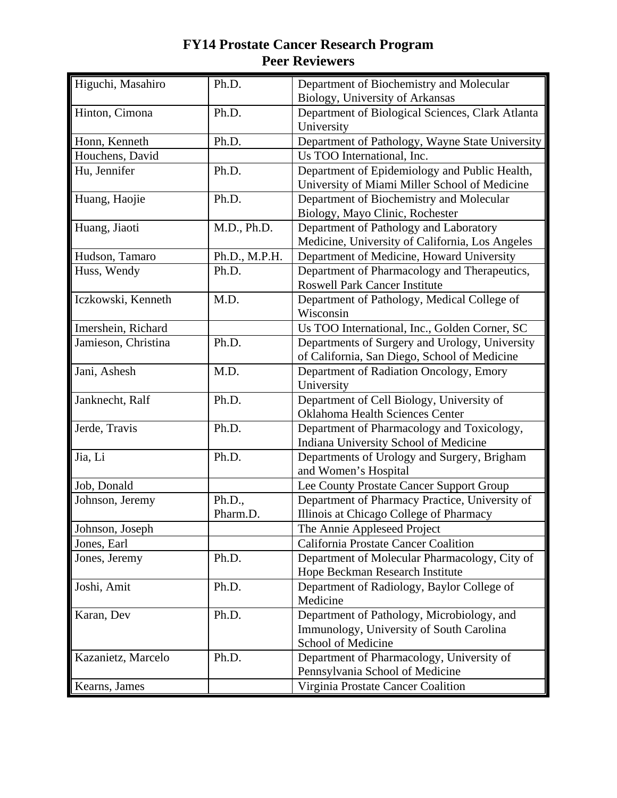| Higuchi, Masahiro   | Ph.D.         | Department of Biochemistry and Molecular                            |
|---------------------|---------------|---------------------------------------------------------------------|
|                     |               | Biology, University of Arkansas                                     |
| Hinton, Cimona      | Ph.D.         | Department of Biological Sciences, Clark Atlanta                    |
|                     |               | University                                                          |
| Honn, Kenneth       | Ph.D.         | Department of Pathology, Wayne State University                     |
| Houchens, David     |               | Us TOO International, Inc.                                          |
| Hu, Jennifer        | Ph.D.         | Department of Epidemiology and Public Health,                       |
|                     |               | University of Miami Miller School of Medicine                       |
| Huang, Haojie       | Ph.D.         | Department of Biochemistry and Molecular                            |
|                     |               | Biology, Mayo Clinic, Rochester                                     |
| Huang, Jiaoti       | M.D., Ph.D.   | Department of Pathology and Laboratory                              |
|                     |               | Medicine, University of California, Los Angeles                     |
| Hudson, Tamaro      | Ph.D., M.P.H. | Department of Medicine, Howard University                           |
| Huss, Wendy         | Ph.D.         | Department of Pharmacology and Therapeutics,                        |
|                     |               | <b>Roswell Park Cancer Institute</b>                                |
| Iczkowski, Kenneth  | M.D.          | Department of Pathology, Medical College of                         |
|                     |               | Wisconsin                                                           |
| Imershein, Richard  |               | Us TOO International, Inc., Golden Corner, SC                       |
| Jamieson, Christina | Ph.D.         | Departments of Surgery and Urology, University                      |
|                     |               | of California, San Diego, School of Medicine                        |
| Jani, Ashesh        | M.D.          | Department of Radiation Oncology, Emory                             |
|                     |               | University                                                          |
| Janknecht, Ralf     | Ph.D.         | Department of Cell Biology, University of                           |
|                     |               | Oklahoma Health Sciences Center                                     |
| Jerde, Travis       | Ph.D.         | Department of Pharmacology and Toxicology,                          |
|                     |               | Indiana University School of Medicine                               |
| Jia, Li             | Ph.D.         | Departments of Urology and Surgery, Brigham<br>and Women's Hospital |
| Job, Donald         |               | Lee County Prostate Cancer Support Group                            |
|                     | Ph.D.,        | Department of Pharmacy Practice, University of                      |
| Johnson, Jeremy     | Pharm.D.      | Illinois at Chicago College of Pharmacy                             |
| Johnson, Joseph     |               | The Annie Appleseed Project                                         |
| Jones, Earl         |               | California Prostate Cancer Coalition                                |
| Jones, Jeremy       | Ph.D.         | Department of Molecular Pharmacology, City of                       |
|                     |               | Hope Beckman Research Institute                                     |
| Joshi, Amit         | Ph.D.         | Department of Radiology, Baylor College of                          |
|                     |               | Medicine                                                            |
| Karan, Dev          | Ph.D.         | Department of Pathology, Microbiology, and                          |
|                     |               | Immunology, University of South Carolina                            |
|                     |               | School of Medicine                                                  |
| Kazanietz, Marcelo  | Ph.D.         | Department of Pharmacology, University of                           |
|                     |               | Pennsylvania School of Medicine                                     |
| Kearns, James       |               | Virginia Prostate Cancer Coalition                                  |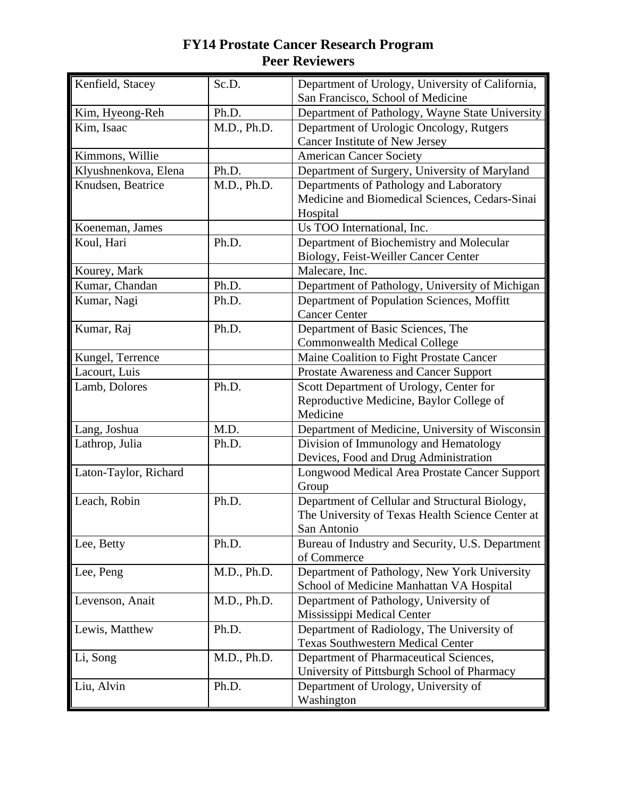| Kenfield, Stacey      | Sc.D.       | Department of Urology, University of California,                |
|-----------------------|-------------|-----------------------------------------------------------------|
|                       |             | San Francisco, School of Medicine                               |
| Kim, Hyeong-Reh       | Ph.D.       | Department of Pathology, Wayne State University                 |
| Kim, Isaac            | M.D., Ph.D. | Department of Urologic Oncology, Rutgers                        |
|                       |             | Cancer Institute of New Jersey                                  |
| Kimmons, Willie       |             | <b>American Cancer Society</b>                                  |
| Klyushnenkova, Elena  | Ph.D.       | Department of Surgery, University of Maryland                   |
| Knudsen, Beatrice     | M.D., Ph.D. | Departments of Pathology and Laboratory                         |
|                       |             | Medicine and Biomedical Sciences, Cedars-Sinai                  |
|                       |             | Hospital                                                        |
| Koeneman, James       |             | Us TOO International, Inc.                                      |
| Koul, Hari            | Ph.D.       | Department of Biochemistry and Molecular                        |
|                       |             | Biology, Feist-Weiller Cancer Center                            |
| Kourey, Mark          |             | Malecare, Inc.                                                  |
| Kumar, Chandan        | Ph.D.       | Department of Pathology, University of Michigan                 |
| Kumar, Nagi           | Ph.D.       | Department of Population Sciences, Moffitt                      |
|                       |             | <b>Cancer Center</b>                                            |
| Kumar, Raj            | Ph.D.       | Department of Basic Sciences, The                               |
|                       |             | <b>Commonwealth Medical College</b>                             |
| Kungel, Terrence      |             | Maine Coalition to Fight Prostate Cancer                        |
| Lacourt, Luis         |             | Prostate Awareness and Cancer Support                           |
| Lamb, Dolores         | Ph.D.       | Scott Department of Urology, Center for                         |
|                       |             | Reproductive Medicine, Baylor College of                        |
|                       |             | Medicine                                                        |
| Lang, Joshua          | M.D.        | Department of Medicine, University of Wisconsin                 |
| Lathrop, Julia        | Ph.D.       | Division of Immunology and Hematology                           |
|                       |             | Devices, Food and Drug Administration                           |
| Laton-Taylor, Richard |             | Longwood Medical Area Prostate Cancer Support                   |
|                       |             | Group                                                           |
| Leach, Robin          | Ph.D.       | Department of Cellular and Structural Biology,                  |
|                       |             | The University of Texas Health Science Center at                |
|                       | Ph.D.       | San Antonio                                                     |
| Lee, Betty            |             | Bureau of Industry and Security, U.S. Department<br>of Commerce |
| Lee, Peng             | M.D., Ph.D. | Department of Pathology, New York University                    |
|                       |             | School of Medicine Manhattan VA Hospital                        |
| Levenson, Anait       | M.D., Ph.D. | Department of Pathology, University of                          |
|                       |             | Mississippi Medical Center                                      |
| Lewis, Matthew        | Ph.D.       | Department of Radiology, The University of                      |
|                       |             | <b>Texas Southwestern Medical Center</b>                        |
| Li, Song              | M.D., Ph.D. | Department of Pharmaceutical Sciences,                          |
|                       |             | University of Pittsburgh School of Pharmacy                     |
| Liu, Alvin            | Ph.D.       | Department of Urology, University of                            |
|                       |             | Washington                                                      |
|                       |             |                                                                 |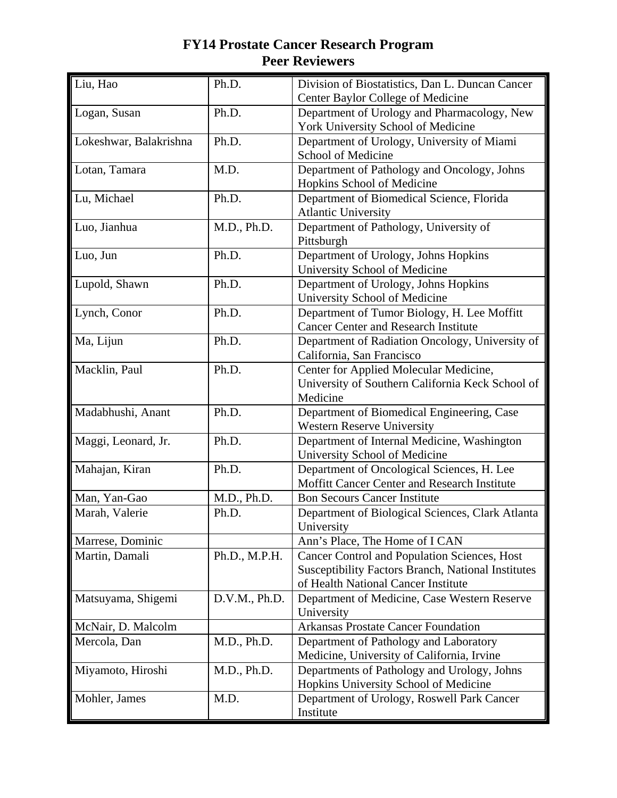| Liu, Hao               | Ph.D.         | Division of Biostatistics, Dan L. Duncan Cancer<br>Center Baylor College of Medicine                                                             |
|------------------------|---------------|--------------------------------------------------------------------------------------------------------------------------------------------------|
| Logan, Susan           | Ph.D.         | Department of Urology and Pharmacology, New<br>York University School of Medicine                                                                |
| Lokeshwar, Balakrishna | Ph.D.         | Department of Urology, University of Miami<br>School of Medicine                                                                                 |
| Lotan, Tamara          | M.D.          | Department of Pathology and Oncology, Johns<br>Hopkins School of Medicine                                                                        |
| Lu, Michael            | Ph.D.         | Department of Biomedical Science, Florida<br><b>Atlantic University</b>                                                                          |
| Luo, Jianhua           | M.D., Ph.D.   | Department of Pathology, University of<br>Pittsburgh                                                                                             |
| Luo, Jun               | Ph.D.         | Department of Urology, Johns Hopkins<br>University School of Medicine                                                                            |
| Lupold, Shawn          | Ph.D.         | Department of Urology, Johns Hopkins<br>University School of Medicine                                                                            |
| Lynch, Conor           | Ph.D.         | Department of Tumor Biology, H. Lee Moffitt<br><b>Cancer Center and Research Institute</b>                                                       |
| Ma, Lijun              | Ph.D.         | Department of Radiation Oncology, University of<br>California, San Francisco                                                                     |
| Macklin, Paul          | Ph.D.         | Center for Applied Molecular Medicine,<br>University of Southern California Keck School of<br>Medicine                                           |
| Madabhushi, Anant      | Ph.D.         | Department of Biomedical Engineering, Case<br><b>Western Reserve University</b>                                                                  |
| Maggi, Leonard, Jr.    | Ph.D.         | Department of Internal Medicine, Washington<br>University School of Medicine                                                                     |
| Mahajan, Kiran         | Ph.D.         | Department of Oncological Sciences, H. Lee<br>Moffitt Cancer Center and Research Institute                                                       |
| Man, Yan-Gao           | M.D., Ph.D.   | <b>Bon Secours Cancer Institute</b>                                                                                                              |
| Marah, Valerie         | Ph.D.         | Department of Biological Sciences, Clark Atlanta<br>University                                                                                   |
| Marrese, Dominic       |               | Ann's Place, The Home of I CAN                                                                                                                   |
| Martin, Damali         | Ph.D., M.P.H. | Cancer Control and Population Sciences, Host<br><b>Susceptibility Factors Branch, National Institutes</b><br>of Health National Cancer Institute |
| Matsuyama, Shigemi     | D.V.M., Ph.D. | Department of Medicine, Case Western Reserve<br>University                                                                                       |
| McNair, D. Malcolm     |               | <b>Arkansas Prostate Cancer Foundation</b>                                                                                                       |
| Mercola, Dan           | M.D., Ph.D.   | Department of Pathology and Laboratory<br>Medicine, University of California, Irvine                                                             |
| Miyamoto, Hiroshi      | M.D., Ph.D.   | Departments of Pathology and Urology, Johns<br>Hopkins University School of Medicine                                                             |
| Mohler, James          | M.D.          | Department of Urology, Roswell Park Cancer<br>Institute                                                                                          |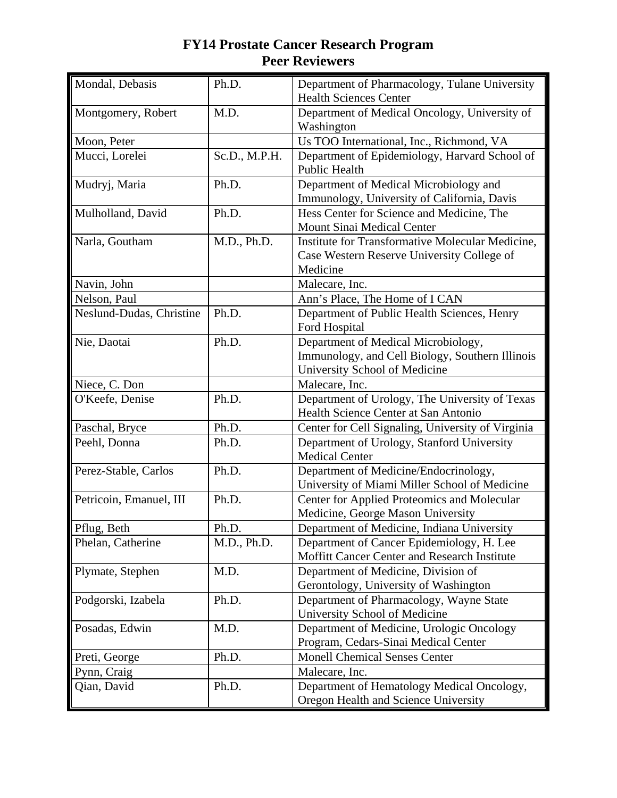| Mondal, Debasis          | Ph.D.         | Department of Pharmacology, Tulane University                  |
|--------------------------|---------------|----------------------------------------------------------------|
|                          |               | <b>Health Sciences Center</b>                                  |
| Montgomery, Robert       | M.D.          | Department of Medical Oncology, University of<br>Washington    |
| Moon, Peter              |               | Us TOO International, Inc., Richmond, VA                       |
| Mucci, Lorelei           |               |                                                                |
|                          | Sc.D., M.P.H. | Department of Epidemiology, Harvard School of<br>Public Health |
| Mudryj, Maria            | Ph.D.         | Department of Medical Microbiology and                         |
|                          |               | Immunology, University of California, Davis                    |
| Mulholland, David        | Ph.D.         | Hess Center for Science and Medicine, The                      |
|                          |               | Mount Sinai Medical Center                                     |
| Narla, Goutham           | M.D., Ph.D.   | Institute for Transformative Molecular Medicine,               |
|                          |               | Case Western Reserve University College of                     |
|                          |               | Medicine                                                       |
| Navin, John              |               | Malecare, Inc.                                                 |
| Nelson, Paul             |               | Ann's Place, The Home of I CAN                                 |
| Neslund-Dudas, Christine | Ph.D.         | Department of Public Health Sciences, Henry<br>Ford Hospital   |
| Nie, Daotai              | Ph.D.         | Department of Medical Microbiology,                            |
|                          |               | Immunology, and Cell Biology, Southern Illinois                |
|                          |               | University School of Medicine                                  |
| Niece, C. Don            |               | Malecare, Inc.                                                 |
| O'Keefe, Denise          | Ph.D.         | Department of Urology, The University of Texas                 |
|                          |               | Health Science Center at San Antonio                           |
| Paschal, Bryce           | Ph.D.         | Center for Cell Signaling, University of Virginia              |
| Peehl, Donna             | Ph.D.         | Department of Urology, Stanford University                     |
|                          |               | <b>Medical Center</b>                                          |
| Perez-Stable, Carlos     | Ph.D.         | Department of Medicine/Endocrinology,                          |
|                          |               | University of Miami Miller School of Medicine                  |
| Petricoin, Emanuel, III  | Ph.D.         | Center for Applied Proteomics and Molecular                    |
|                          |               | Medicine, George Mason University                              |
| Pflug, Beth              | Ph.D.         | Department of Medicine, Indiana University                     |
| Phelan, Catherine        | M.D., Ph.D.   | Department of Cancer Epidemiology, H. Lee                      |
|                          |               | Moffitt Cancer Center and Research Institute                   |
| Plymate, Stephen         | M.D.          | Department of Medicine, Division of                            |
|                          |               | Gerontology, University of Washington                          |
| Podgorski, Izabela       | Ph.D.         | Department of Pharmacology, Wayne State                        |
|                          |               | University School of Medicine                                  |
| Posadas, Edwin           | M.D.          | Department of Medicine, Urologic Oncology                      |
|                          |               | Program, Cedars-Sinai Medical Center                           |
| Preti, George            | Ph.D.         | <b>Monell Chemical Senses Center</b>                           |
| Pynn, Craig              |               | Malecare, Inc.                                                 |
| Qian, David              | Ph.D.         | Department of Hematology Medical Oncology,                     |
|                          |               | Oregon Health and Science University                           |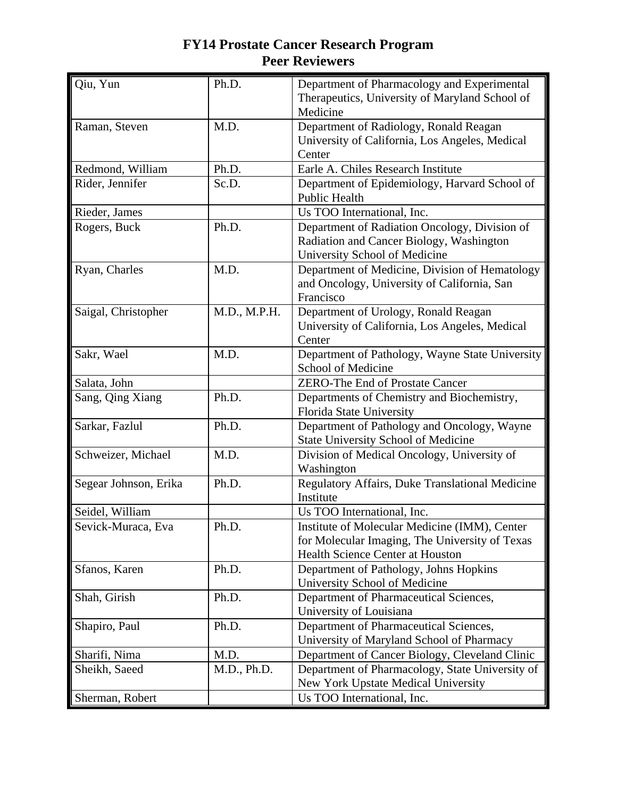| Qiu, Yun              | Ph.D.        | Department of Pharmacology and Experimental<br>Therapeutics, University of Maryland School of                                       |
|-----------------------|--------------|-------------------------------------------------------------------------------------------------------------------------------------|
|                       |              | Medicine                                                                                                                            |
| Raman, Steven         | M.D.         | Department of Radiology, Ronald Reagan                                                                                              |
|                       |              | University of California, Los Angeles, Medical                                                                                      |
|                       |              | Center                                                                                                                              |
| Redmond, William      | Ph.D.        | Earle A. Chiles Research Institute                                                                                                  |
| Rider, Jennifer       | Sc.D.        | Department of Epidemiology, Harvard School of<br><b>Public Health</b>                                                               |
| Rieder, James         |              | Us TOO International, Inc.                                                                                                          |
| Rogers, Buck          | Ph.D.        | Department of Radiation Oncology, Division of<br>Radiation and Cancer Biology, Washington<br>University School of Medicine          |
| Ryan, Charles         | M.D.         | Department of Medicine, Division of Hematology<br>and Oncology, University of California, San<br>Francisco                          |
| Saigal, Christopher   | M.D., M.P.H. | Department of Urology, Ronald Reagan<br>University of California, Los Angeles, Medical<br>Center                                    |
| Sakr, Wael            | M.D.         | Department of Pathology, Wayne State University<br>School of Medicine                                                               |
| Salata, John          |              | <b>ZERO-The End of Prostate Cancer</b>                                                                                              |
| Sang, Qing Xiang      | Ph.D.        | Departments of Chemistry and Biochemistry,<br>Florida State University                                                              |
| Sarkar, Fazlul        | Ph.D.        | Department of Pathology and Oncology, Wayne<br><b>State University School of Medicine</b>                                           |
| Schweizer, Michael    | M.D.         | Division of Medical Oncology, University of<br>Washington                                                                           |
| Segear Johnson, Erika | Ph.D.        | Regulatory Affairs, Duke Translational Medicine<br>Institute                                                                        |
| Seidel, William       |              | Us TOO International, Inc.                                                                                                          |
| Sevick-Muraca, Eva    | Ph.D.        | Institute of Molecular Medicine (IMM), Center<br>for Molecular Imaging, The University of Texas<br>Health Science Center at Houston |
| Sfanos, Karen         | Ph.D.        | Department of Pathology, Johns Hopkins<br>University School of Medicine                                                             |
| Shah, Girish          | Ph.D.        | Department of Pharmaceutical Sciences,<br>University of Louisiana                                                                   |
| Shapiro, Paul         | Ph.D.        | Department of Pharmaceutical Sciences,<br>University of Maryland School of Pharmacy                                                 |
| Sharifi, Nima         | M.D.         | Department of Cancer Biology, Cleveland Clinic                                                                                      |
| Sheikh, Saeed         | M.D., Ph.D.  | Department of Pharmacology, State University of<br>New York Upstate Medical University                                              |
| Sherman, Robert       |              | Us TOO International, Inc.                                                                                                          |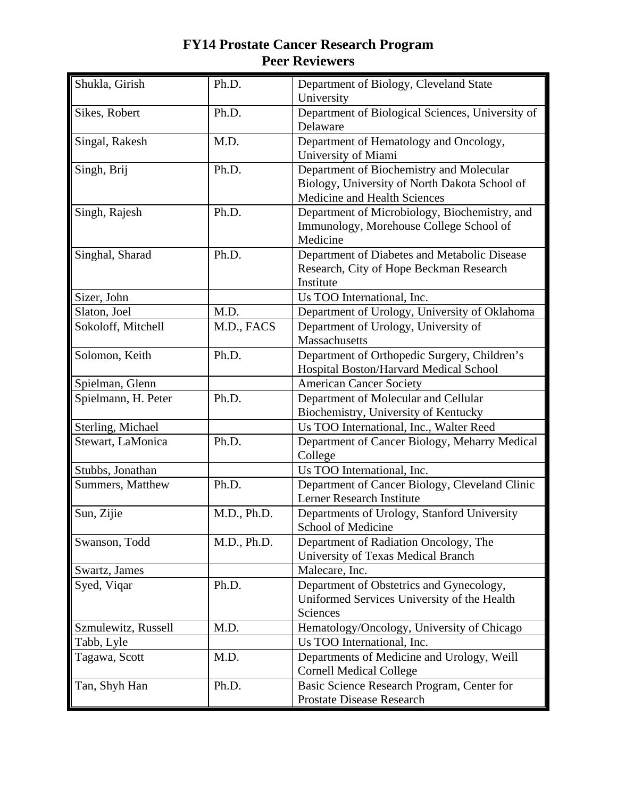| Shukla, Girish      | Ph.D.       | Department of Biology, Cleveland State<br>University                                                                      |
|---------------------|-------------|---------------------------------------------------------------------------------------------------------------------------|
| Sikes, Robert       | Ph.D.       | Department of Biological Sciences, University of<br>Delaware                                                              |
| Singal, Rakesh      | M.D.        | Department of Hematology and Oncology,<br>University of Miami                                                             |
| Singh, Brij         | Ph.D.       | Department of Biochemistry and Molecular<br>Biology, University of North Dakota School of<br>Medicine and Health Sciences |
| Singh, Rajesh       | Ph.D.       | Department of Microbiology, Biochemistry, and<br>Immunology, Morehouse College School of<br>Medicine                      |
| Singhal, Sharad     | Ph.D.       | Department of Diabetes and Metabolic Disease<br>Research, City of Hope Beckman Research<br>Institute                      |
| Sizer, John         |             | Us TOO International, Inc.                                                                                                |
| Slaton, Joel        | M.D.        | Department of Urology, University of Oklahoma                                                                             |
| Sokoloff, Mitchell  | M.D., FACS  | Department of Urology, University of<br>Massachusetts                                                                     |
| Solomon, Keith      | Ph.D.       | Department of Orthopedic Surgery, Children's<br>Hospital Boston/Harvard Medical School                                    |
| Spielman, Glenn     |             | <b>American Cancer Society</b>                                                                                            |
| Spielmann, H. Peter | Ph.D.       | Department of Molecular and Cellular<br>Biochemistry, University of Kentucky                                              |
| Sterling, Michael   |             | Us TOO International, Inc., Walter Reed                                                                                   |
| Stewart, LaMonica   | Ph.D.       | Department of Cancer Biology, Meharry Medical<br>College                                                                  |
| Stubbs, Jonathan    |             | Us TOO International, Inc.                                                                                                |
| Summers, Matthew    | Ph.D.       | Department of Cancer Biology, Cleveland Clinic<br>Lerner Research Institute                                               |
| Sun, Zijie          | M.D., Ph.D. | Departments of Urology, Stanford University<br>School of Medicine                                                         |
| Swanson, Todd       | M.D., Ph.D. | Department of Radiation Oncology, The<br>University of Texas Medical Branch                                               |
| Swartz, James       |             | Malecare, Inc.                                                                                                            |
| Syed, Viqar         | Ph.D.       | Department of Obstetrics and Gynecology,<br>Uniformed Services University of the Health<br>Sciences                       |
| Szmulewitz, Russell | M.D.        | Hematology/Oncology, University of Chicago                                                                                |
| Tabb, Lyle          |             | Us TOO International, Inc.                                                                                                |
| Tagawa, Scott       | M.D.        | Departments of Medicine and Urology, Weill<br><b>Cornell Medical College</b>                                              |
| Tan, Shyh Han       | Ph.D.       | Basic Science Research Program, Center for<br>Prostate Disease Research                                                   |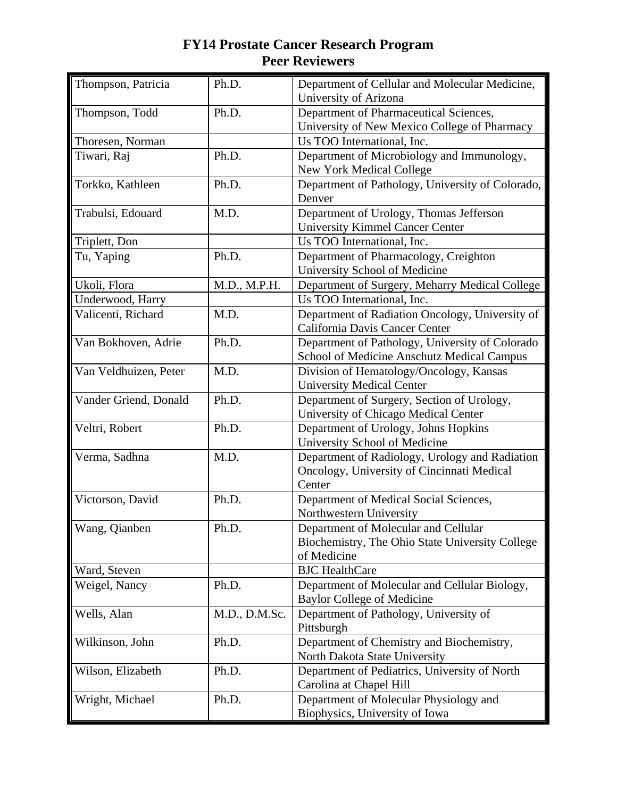| Thompson, Patricia    | Ph.D.         | Department of Cellular and Molecular Medicine,<br>University of Arizona |
|-----------------------|---------------|-------------------------------------------------------------------------|
| Thompson, Todd        | Ph.D.         | Department of Pharmaceutical Sciences,                                  |
|                       |               | University of New Mexico College of Pharmacy                            |
| Thoresen, Norman      |               | Us TOO International, Inc.                                              |
| Tiwari, Raj           | Ph.D.         | Department of Microbiology and Immunology,                              |
|                       |               | New York Medical College                                                |
| Torkko, Kathleen      | Ph.D.         | Department of Pathology, University of Colorado,<br>Denver              |
| Trabulsi, Edouard     | M.D.          | Department of Urology, Thomas Jefferson                                 |
|                       |               | <b>University Kimmel Cancer Center</b>                                  |
| Triplett, Don         |               | Us TOO International, Inc.                                              |
| Tu, Yaping            | Ph.D.         | Department of Pharmacology, Creighton                                   |
|                       |               | University School of Medicine                                           |
| Ukoli, Flora          | M.D., M.P.H.  | Department of Surgery, Meharry Medical College                          |
| Underwood, Harry      |               | Us TOO International, Inc.                                              |
| Valicenti, Richard    | M.D.          | Department of Radiation Oncology, University of                         |
|                       |               | California Davis Cancer Center                                          |
| Van Bokhoven, Adrie   | Ph.D.         | Department of Pathology, University of Colorado                         |
|                       |               | School of Medicine Anschutz Medical Campus                              |
| Van Veldhuizen, Peter | M.D.          | Division of Hematology/Oncology, Kansas                                 |
|                       |               | <b>University Medical Center</b>                                        |
| Vander Griend, Donald | Ph.D.         | Department of Surgery, Section of Urology,                              |
|                       |               | University of Chicago Medical Center                                    |
| Veltri, Robert        | Ph.D.         | Department of Urology, Johns Hopkins<br>University School of Medicine   |
| Verma, Sadhna         | M.D.          | Department of Radiology, Urology and Radiation                          |
|                       |               | Oncology, University of Cincinnati Medical                              |
|                       |               | Center                                                                  |
| Victorson, David      | Ph.D.         | Department of Medical Social Sciences,                                  |
|                       |               | Northwestern University                                                 |
| Wang, Qianben         | Ph.D.         | Department of Molecular and Cellular                                    |
|                       |               | Biochemistry, The Ohio State University College                         |
|                       |               | of Medicine                                                             |
| Ward, Steven          |               | <b>BJC</b> HealthCare                                                   |
| Weigel, Nancy         | Ph.D.         | Department of Molecular and Cellular Biology,                           |
|                       |               | <b>Baylor College of Medicine</b>                                       |
| Wells, Alan           | M.D., D.M.Sc. | Department of Pathology, University of                                  |
|                       |               | Pittsburgh                                                              |
| Wilkinson, John       | Ph.D.         | Department of Chemistry and Biochemistry,                               |
|                       |               | North Dakota State University                                           |
| Wilson, Elizabeth     | Ph.D.         | Department of Pediatrics, University of North                           |
|                       | Ph.D.         | Carolina at Chapel Hill<br>Department of Molecular Physiology and       |
| Wright, Michael       |               |                                                                         |
|                       |               | Biophysics, University of Iowa                                          |